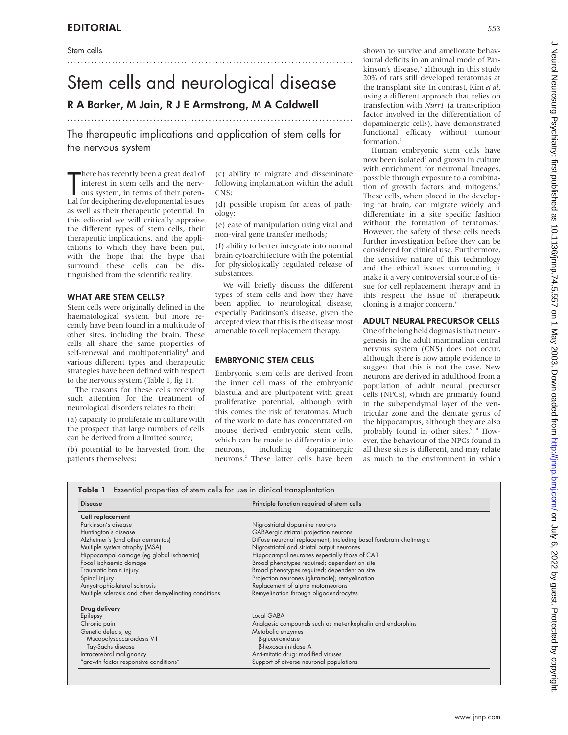Stem cells

# Stem cells and neurological disease

...................................................................................

## R A Barker, M Jain, R J E Armstrong, M A Caldwell

The therapeutic implications and application of stem cells for the nervous system

...................................................................................

There has recently been a great deal of<br>interest in stem cells and the nerv-<br>ous system, in terms of their poten-<br>tial for deciphering developmental issues here has recently been a great deal of interest in stem cells and the nervous system, in terms of their potenas well as their therapeutic potential. In this editorial we will critically appraise the different types of stem cells, their therapeutic implications, and the applications to which they have been put, with the hope that the hype that surround these cells can be distinguished from the scientific reality.

#### WHAT ARE STEM CELLS?

Stem cells were originally defined in the haematological system, but more recently have been found in a multitude of other sites, including the brain. These cells all share the same properties of self-renewal and multipotentiality<sup>1</sup> and various different types and therapeutic strategies have been defined with respect to the nervous system (Table 1, fig 1).

The reasons for these cells receiving such attention for the treatment of neurological disorders relates to their:

(a) capacity to proliferate in culture with the prospect that large numbers of cells can be derived from a limited source;

(b) potential to be harvested from the patients themselves;

(c) ability to migrate and disseminate following implantation within the adult CNS;

(d) possible tropism for areas of pathology;

(e) ease of manipulation using viral and non-viral gene transfer methods;

(f) ability to better integrate into normal brain cytoarchitecture with the potential for physiologically regulated release of substances.

We will briefly discuss the different types of stem cells and how they have been applied to neurological disease, especially Parkinson's disease, given the accepted view that this is the disease most amenable to cell replacement therapy.

#### EMBRYONIC STEM CELLS

Embryonic stem cells are derived from the inner cell mass of the embryonic blastula and are pluripotent with great proliferative potential, although with this comes the risk of teratomas. Much of the work to date has concentrated on mouse derived embryonic stem cells, which can be made to differentiate into neurons, including dopaminergic neurons.<sup>2</sup> These latter cells have been shown to survive and ameliorate behavioural deficits in an animal mode of Parkinson's disease,<sup>3</sup> although in this study 20% of rats still developed teratomas at the transplant site. In contrast, Kim *et al*, using a different approach that relies on transfection with *Nurr1* (a transcription factor involved in the differentiation of dopaminergic cells), have demonstrated functional efficacy without tumour formation.4

Human embryonic stem cells have now been isolated<sup>5</sup> and grown in culture with enrichment for neuronal lineages, possible through exposure to a combination of growth factors and mitogens.<sup>6</sup> These cells, when placed in the developing rat brain, can migrate widely and differentiate in a site specific fashion without the formation of teratomas.<sup>7</sup> However, the safety of these cells needs further investigation before they can be considered for clinical use. Furthermore, the sensitive nature of this technology and the ethical issues surrounding it make it a very controversial source of tissue for cell replacement therapy and in this respect the issue of therapeutic cloning is a major concern.<sup>8</sup>

#### ADULT NEURAL PRECURSOR CELLS

One of thelong held dogmasis that neurogenesis in the adult mammalian central nervous system (CNS) does not occur, although there is now ample evidence to suggest that this is not the case. New neurons are derived in adulthood from a population of adult neural precursor cells (NPCs), which are primarily found in the subependymal layer of the ventricular zone and the dentate gyrus of the hippocampus, although they are also probably found in other sites.<sup>9 10</sup> However, the behaviour of the NPCs found in all these sites is different, and may relate as much to the environment in which

| <b>Disease</b>                                        | Principle function required of stem cells                           |
|-------------------------------------------------------|---------------------------------------------------------------------|
| Cell replacement                                      |                                                                     |
| Parkinson's disease                                   | Nigrostriatal dopamine neurons                                      |
| Huntington's disease                                  | GABAergic striatal projection neurons                               |
| Alzheimer's (and other dementias)                     | Diffuse neuronal replacement, including basal forebrain cholinergic |
| Multiple system atrophy (MSA)                         | Nigrostriatal and striatal output neurones                          |
| Hippocampal damage (eg global ischaemia)              | Hippocampal neurones especially those of CA1                        |
| Focal ischaemic damage                                | Broad phenotypes required; dependent on site                        |
| Traumatic brain injury                                | Broad phenotypes required; dependent on site                        |
| Spinal injury                                         | Projection neurones (glutamate); remyelination                      |
| Amyotrophic-lateral sclerosis                         | Replacement of alpha motorneurons                                   |
| Multiple sclerosis and other demyelinating conditions | Remyelination through oligodendrocytes                              |
| Drug delivery                                         |                                                                     |
| Epilepsy                                              | Local GABA                                                          |
| Chronic pain                                          | Analgesic compounds such as met-enkephalin and endorphins           |
| Genetic defects, eg                                   | Metabolic enzymes                                                   |
| Mucopolysaccaroidosis VII                             | <b>B-glucuronidase</b>                                              |
| Tay-Sachs disease                                     | β-hexosaminidase A                                                  |
| Intracerebral malignancy                              | Anti-mitotic drug; modified viruses                                 |
| "growth factor responsive conditions"                 | Support of diverse neuronal populations                             |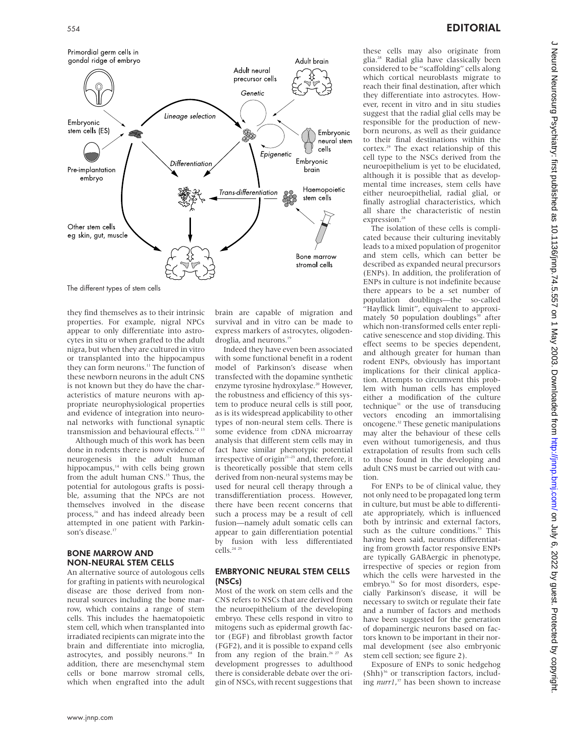

they find themselves as to their intrinsic properties. For example, nigral NPCs appear to only differentiate into astrocytes in situ or when grafted to the adult nigra, but when they are cultured in vitro or transplanted into the hippocampus they can form neurons.<sup>11</sup> The function of these newborn neurons in the adult CNS is not known but they do have the characteristics of mature neurons with appropriate neurophysiological properties and evidence of integration into neuro-

nal networks with functional synaptic

transmission and behavioural effects.<sup>12 13</sup> Although much of this work has been done in rodents there is now evidence of neurogenesis in the adult human hippocampus, $14$  with cells being grown from the adult human CNS.<sup>15</sup> Thus, the potential for autologous grafts is possible, assuming that the NPCs are not themselves involved in the disease process,<sup>16</sup> and has indeed already been attempted in one patient with Parkinson's disease.<sup>17</sup>

#### BONE MARROW AND NON-NEURAL STEM CELLS

An alternative source of autologous cells for grafting in patients with neurological disease are those derived from nonneural sources including the bone marrow, which contains a range of stem cells. This includes the haematopoietic stem cell, which when transplanted into irradiated recipients can migrate into the brain and differentiate into microglia, astrocytes, and possibly neurons.<sup>18</sup> In addition, there are mesenchymal stem cells or bone marrow stromal cells, which when engrafted into the adult

brain are capable of migration and survival and in vitro can be made to express markers of astrocytes, oligodendroglia, and neurons.<sup>19</sup>

Indeed they have even been associated with some functional benefit in a rodent model of Parkinson's disease when transfected with the dopamine synthetic enzyme tyrosine hydroxylase.<sup>20</sup> However, the robustness and efficiency of this system to produce neural cells is still poor, as is its widespread applicability to other types of non-neural stem cells. There is some evidence from cDNA microarray analysis that different stem cells may in fact have similar phenotypic potential irrespective of origin<sup>21-23</sup> and, therefore, it is theoretically possible that stem cells derived from non-neural systems may be used for neural cell therapy through a transdifferentiation process. However, there have been recent concerns that such a process may be a result of cell fusion—namely adult somatic cells can appear to gain differentiation potential by fusion with less differentiated cells.<sup>24</sup> <sup>25</sup>

#### EMBRYONIC NEURAL STEM CELLS (NSCs)

Most of the work on stem cells and the CNS refers to NSCs that are derived from the neuroepithelium of the developing embryo. These cells respond in vitro to mitogens such as epidermal growth factor (EGF) and fibroblast growth factor (FGF2), and it is possible to expand cells from any region of the brain.<sup>26 27</sup> As development progresses to adulthood there is considerable debate over the origin of NSCs, with recent suggestions that

#### <sup>554</sup> EDITORIAL

these cells may also originate from glia.28 Radial glia have classically been considered to be "scaffolding" cells along which cortical neuroblasts migrate to reach their final destination, after which they differentiate into astrocytes. However, recent in vitro and in situ studies suggest that the radial glial cells may be responsible for the production of newborn neurons, as well as their guidance to their final destinations within the cortex.<sup>29</sup> The exact relationship of this cell type to the NSCs derived from the neuroepithelium is yet to be elucidated, although it is possible that as developmental time increases, stem cells have either neuroepithelial, radial glial, or finally astroglial characteristics, which all share the characteristic of nestin expression.<sup>28</sup>

The isolation of these cells is complicated because their culturing inevitably leads to a mixed population of progenitor and stem cells, which can better be described as expanded neural precursors (ENPs). In addition, the proliferation of ENPs in culture is not indefinite because there appears to be a set number of population doublings—the so-called "Hayflick limit", equivalent to approximately 50 population doublings $30$  after which non-transformed cells enter replicative senescence and stop dividing. This effect seems to be species dependent, and although greater for human than rodent ENPs, obviously has important implications for their clinical application. Attempts to circumvent this problem with human cells has employed either a modification of the culture technique $31$  or the use of transducing vectors encoding an immortalising oncogene.32 These genetic manipulations may alter the behaviour of these cells even without tumorigenesis, and thus extrapolation of results from such cells to those found in the developing and adult CNS must be carried out with caution.

For ENPs to be of clinical value, they not only need to be propagated long term in culture, but must be able to differentiate appropriately, which is influenced both by intrinsic and external factors, such as the culture conditions.<sup>33</sup> This having been said, neurons differentiating from growth factor responsive ENPs are typically GABAergic in phenotype, irrespective of species or region from which the cells were harvested in the embryo.<sup>34</sup> So for most disorders, especially Parkinson's disease, it will be necessary to switch or regulate their fate and a number of factors and methods have been suggested for the generation of dopaminergic neurons based on factors known to be important in their normal development (see also embryonic stem cell section; see figure 2).

Exposure of ENPs to sonic hedgehog  $(Shh)^{36}$  or transcription factors, including *nurr1*, <sup>37</sup> has been shown to increase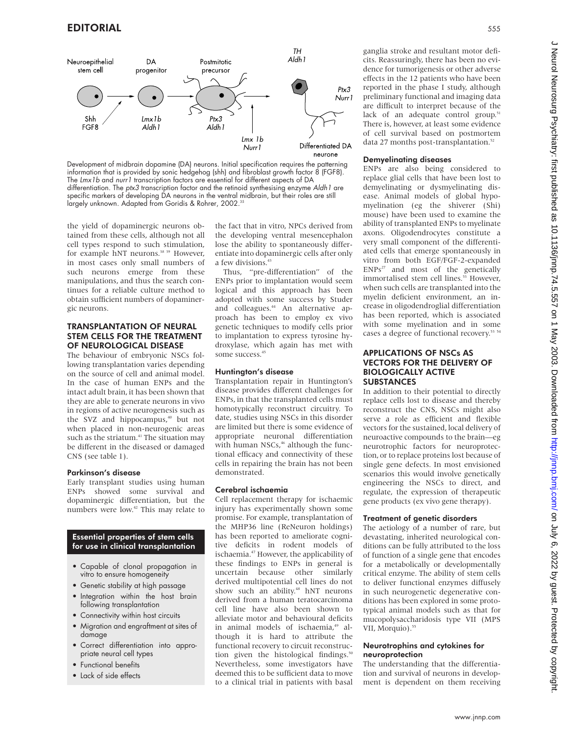

Development of midbrain dopamine (DA) neurons. Initial specification requires the patterning information that is provided by sonic hedgehog (shh) and fibroblast growth factor 8 (FGF8). The Lmx1b and nurr1 transcription factors are essential for different aspects of DA differentiation. The ptx3 transcription factor and the retinoid synthesising enzyme Aldh1 are specific markers of developing DA neurons in the ventral midbrain, but their roles are still largely unknown. Adapted from Goridis & Rohrer, 2002.<sup>35</sup>

the yield of dopaminergic neurons obtained from these cells, although not all cell types respond to such stimulation, for example hNT neurons.<sup>38</sup> <sup>39</sup> However, in most cases only small numbers of such neurons emerge from these manipulations, and thus the search continues for a reliable culture method to obtain sufficient numbers of dopaminergic neurons.

#### TRANSPLANTATION OF NEURAL STEM CELLS FOR THE TREATMENT OF NEUROLOGICAL DISEASE

The behaviour of embryonic NSCs following transplantation varies depending on the source of cell and animal model. In the case of human ENPs and the intact adult brain, it has been shown that they are able to generate neurons in vivo in regions of active neurogenesis such as the SVZ and hippocampus,<sup>40</sup> but not when placed in non-neurogenic areas such as the striatum.<sup>41</sup> The situation may be different in the diseased or damaged CNS (see table 1).

#### Parkinson's disease

Early transplant studies using human ENPs showed some survival and dopaminergic differentiation, but the numbers were low.42 This may relate to

#### Essential properties of stem cells for use in clinical transplantation

- Capable of clonal propagation in vitro to ensure homogeneity
- Genetic stability at high passage
- Integration within the host brain following transplantation
- Connectivity within host circuits
- Migration and engraftment at sites of damage
- Correct differentiation into appropriate neural cell types
- Functional benefits
- Lack of side effects

the fact that in vitro, NPCs derived from the developing ventral mesencephalon lose the ability to spontaneously differentiate into dopaminergic cells after only a few divisions.<sup>43</sup>

Thus, "pre-differentiation" of the ENPs prior to implantation would seem logical and this approach has been adopted with some success by Studer and colleagues.<sup>44</sup> An alternative approach has been to employ ex vivo genetic techniques to modify cells prior to implantation to express tyrosine hydroxylase, which again has met with some success.<sup>45</sup>

#### Huntington's disease

Transplantation repair in Huntington's disease provides different challenges for ENPs, in that the transplanted cells must homotypically reconstruct circuitry. To date, studies using NSCs in this disorder are limited but there is some evidence of appropriate neuronal differentiation with human NSCs,<sup>46</sup> although the functional efficacy and connectivity of these cells in repairing the brain has not been demonstrated.

#### Cerebral ischaemia

Cell replacement therapy for ischaemic injury has experimentally shown some promise. For example, transplantation of the MHP36 line (ReNeuron holdings) has been reported to ameliorate cognitive deficits in rodent models of ischaemia.<sup>47</sup> However, the applicability of these findings to ENPs in general is uncertain because other similarly derived multipotential cell lines do not show such an ability.<sup>48</sup> hNT neurons derived from a human teratocarcinoma cell line have also been shown to alleviate motor and behavioural deficits in animal models of ischaemia,<sup>49</sup> although it is hard to attribute the functional recovery to circuit reconstruction given the histological findings.<sup>50</sup> Nevertheless, some investigators have deemed this to be sufficient data to move to a clinical trial in patients with basal

ganglia stroke and resultant motor deficits. Reassuringly, there has been no evidence for tumorigenesis or other adverse effects in the 12 patients who have been reported in the phase I study, although preliminary functional and imaging data are difficult to interpret because of the lack of an adequate control group. $51$ There is, however, at least some evidence of cell survival based on postmortem data 27 months post-transplantation.<sup>52</sup>

#### Demyelinating diseases

ENPs are also being considered to replace glial cells that have been lost to demyelinating or dysmyelinating disease. Animal models of global hypomyelination (eg the shiverer (Shi) mouse) have been used to examine the ability of transplanted ENPs to myelinate axons. Oligodendrocytes constitute a very small component of the differentiated cells that emerge spontaneously in vitro from both EGF/FGF-2-expanded  $ENPs<sup>27</sup>$  and most of the genetically immortalised stem cell lines.<sup>53</sup> However, when such cells are transplanted into the myelin deficient environment, an increase in oligodendroglial differentiation has been reported, which is associated with some myelination and in some cases a degree of functional recovery.<sup>53</sup>

#### APPLICATIONS OF NSCs AS VECTORS FOR THE DELIVERY OF BIOLOGICALLY ACTIVE SUBSTANCES

In addition to their potential to directly replace cells lost to disease and thereby reconstruct the CNS, NSCs might also serve a role as efficient and flexible vectors for the sustained, local delivery of neuroactive compounds to the brain—eg neurotrophic factors for neuroprotection, or to replace proteins lost because of single gene defects. In most envisioned scenarios this would involve genetically engineering the NSCs to direct, and regulate, the expression of therapeutic gene products (ex vivo gene therapy).

#### Treatment of genetic disorders

The aetiology of a number of rare, but devastating, inherited neurological conditions can be fully attributed to the loss of function of a single gene that encodes for a metabolically or developmentally critical enzyme. The ability of stem cells to deliver functional enzymes diffusely in such neurogenetic degenerative conditions has been explored in some prototypical animal models such as that for mucopolysaccharidosis type VII (MPS VII, Morquio).<sup>55</sup>

#### Neurotrophins and cytokines for neuroprotection

The understanding that the differentiation and survival of neurons in development is dependent on them receiving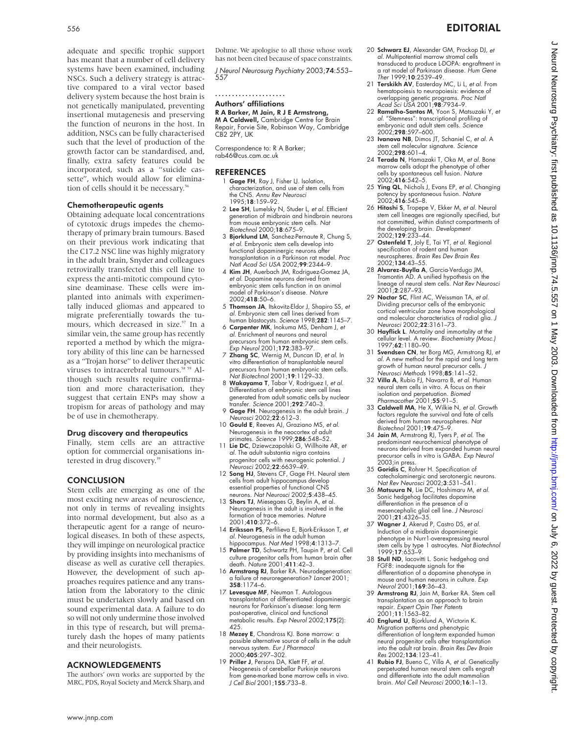adequate and specific trophic support has meant that a number of cell delivery systems have been examined, including NSCs. Such a delivery strategy is attractive compared to a viral vector based delivery system because the host brain is not genetically manipulated, preventing insertional mutagenesis and preserving the function of neurons in the host. In addition, NSCs can be fully characterised such that the level of production of the growth factor can be standardised, and, finally, extra safety features could be incorporated, such as a "suicide cassette", which would allow for elimination of cells should it be necessary.<sup>56</sup>

#### Chemotherapeutic agents

Obtaining adequate local concentrations of cytotoxic drugs impedes the chemotherapy of primary brain tumours. Based on their previous work indicating that the C17.2 NSC line was highly migratory in the adult brain, Snyder and colleagues retrovirally transfected this cell line to express the anti-mitotic compound cytosine deaminase. These cells were implanted into animals with experimentally induced gliomas and appeared to migrate preferentially towards the tumours, which decreased in size.<sup>57</sup> In a similar vein, the same group has recently reported a method by which the migratory ability of this line can be harnessed as a "Trojan horse" to deliver therapeutic viruses to intracerebral tumours.<sup>58 59</sup> Although such results require confirmation and more characterisation, they suggest that certain ENPs may show a tropism for areas of pathology and may be of use in chemotherapy.

#### Drug discovery and therapeutics

Finally, stem cells are an attractive option for commercial organisations interested in drug discovery.<sup>36</sup>

#### **CONCLUSION**

Stem cells are emerging as one of the most exciting new areas of neuroscience, not only in terms of revealing insights into normal development, but also as a therapeutic agent for a range of neurological diseases. In both of these aspects, they will impinge on neurological practice by providing insights into mechanisms of disease as well as curative cell therapies. However, the development of such approaches requires patience and any translation from the laboratory to the clinic must be undertaken slowly and based on sound experimental data. A failure to do so will not only undermine those involved in this type of research, but will prematurely dash the hopes of many patients and their neurologists.

#### ACKNOWLEDGEMENTS

The authors' own works are supported by the MRC, PDS, Royal Society and Merck Sharp, and

Dohme. We apologise to all those whose work has not been cited because of space constraints.

J Neurol Neurosurg Psychiatry 2003;74:553– 557

.....................

#### Authors' affiliations

R A Barker, M Jain, R J E Armstrong, M A Caldwell, Cambridge Centre for Brain Repair, Forvie Site, Robinson Way, Cambridge CB2 2PY, UK

Correspondence to: R A Barker; rab46@cus.cam.ac.uk

#### REFERENCES

- 1 Gage FH, Ray J, Fisher LJ. Isolation, characterization, and use of stem cells from the CNS. Annu Rev Neurosci 1995;18:159–92.
- 2 Lee SH, Lumelsky N, Studer L, et al. Efficient generation of midbrain and hindbrain neurons from mouse embryonic stem cells. Nat Biotechnol 2000;18:675–9.
- 3 Bjorklund LM, Sanchez-Pernaute R, Chung S, et al. Embryonic stem cells develop into functional dopaminergic neurons after transplantation in a Parkinson rat model. Proc Natl Acad Sci USA 2002;99:2344–9.
- 4 Kim JH, Auerbach JM, Rodriguez-Gomez JA, et al. Dopamine neurons derived from embryonic stem cells function in an animal model of Parkinson's disease. Nature 2002;418:50–6.
- 5 Thomson JA, Itskovitz-Eldor J, Shapiro SS, et al. Embryonic stem cell lines derived from human blastocysts. Science 1998;282:1145-7.
- 6 Carpenter MK, Inokuma MS, Denham J, et al. Enrichment of neurons and neural precursors from human embryonic stem cells. Exp Neurol 2001;172:383–97.
- 7 Zhang SC, Wernig M, Duncan ID, et al. In vitro differentiation of transplantable neural precursors from human embryonic stem cells. Nat Biotechnol 2001;19:1129–33.
- 8 Wakayama T, Tabar V, Rodriguez I, et al. Differentiation of embryonic stem cell lines generated from adult somatic cells by nuclear transfer. Science 2001;292:740–3.
- 9 Gage FH. Neurogenesis in the adult brain. J Neurosci 2002;22:612–3.
- 10 Gould E, Reeves AJ, Graziano MS, et al. Neurogenesis in the neocortex of adult primates. Science 1999;286:548–52.
- 11 Lie DC, Dziewczapolski G, Willhoite AR, et al. The adult substantia nigra contains progenitor cells with neurogenic potential. J Neurosci 2002;22:6639–49.
- 12 Song HJ, Stevens CF, Gage FH. Neural stem cells from adult hippocampus develop essential properties of functional CNS neurons. Nat Neurosci 2002;5:438–45.
- 13 Shors TJ, Miesegaes G, Beylin A, et al. Neurogenesis in the adult is involved in the formation of trace memories. Nature 2001;410:372–6.
- 14 Eriksson PS, Perfilieva E, Bjork-Eriksson T, et al. Neurogenesis in the adult human hippocampus. Nat Med 1998;4:1313-7
- 15 Palmer TD, Schwartz PH, Taupin P, et al. Cell culture progenitor cells from human brain after death. Nature 2001;411:42–3.
- 16 Armstrong RJ, Barker RA. Neurodegeneration: a failure of neuroregeneration? Lancet 2001; 358:1174–6.
- 17 Levesque MF, Neuman T. Autologous transplantation of differentiated dopaminergic neurons for Parkinson's disease: long term post-operative, clinical and functional metabolic results. Exp Neurol 2002;175(2): 425.
- 18 Mezey E, Chandross KJ. Bone marrow: a possible alternative source of cells in the adult nervous system. *Eur J Pharmacol*<br>2000;**405**:297–302.
- 19 Priller J, Persons DA, Klett FF, et al. Neogenesis of cerebellar Purkinje neurons from gene-marked bone marrow cells in vivo. J Cell Biol 2001;155:733–8.
- 20 Schwarz EJ, Alexander GM, Prockop DJ, et al. Multipotential marrow stromal cells transduced to produce L-DOPA: engraftment in a rat model of Parkinson disease. *Hum Gene*<br>Ther 1999;**10**:2539–49.
- 21 Terskikh AV, Easterday MC, Li L, et al. From hematopoiesis to neuropoiesis: evidence of overlapping genetic programs. *Proc Natl*<br>Acad Sci USA 2001;**98**:7934–9.
- 22 Ramalho-Santos M, Yoon S, Matsuzaki Y, et al. "Stemness": transcriptional profiling of embryonic and adult stem cells. Science 2002;298:597–600.
- 23 Ivanova NB, Dimos JT, Schaniel C, et al. A stem cell molecular signature. Science<br>2002:298:601-4
- 2002;**298**:601–4.<br>
24 **Terada N**, Hamazaki T, Oka M, et al. Bone<br>
marrow cells adopt the phenotype of other<br>
cells by spontaneous cell fusion. Nature<br>
2002;4**16**:542–5.
- 25 Ying QL, Nichols J, Evans EP, et al. Changing potency by spontaneous fusion. Nature 2002;416:545–8.
- 26 Hitoshi S, Tropepe V, Ekker M, et al. Neural stem cell lineages are regionally specified, but not committed, within distinct compartments of the developing brain. Development 2002;**129**:233–44.
- 27 Ostenfeld T, Joly E, Tai YT, et al. Regional specification of rodent and human neurospheres. *Brain Res Dev Brain Res*<br>2002;**134**:43–55.
- 28 Alvarez-Buylla A, Garcia-Verdugo JM, Tramontin AD. A unified hypothesis on the lineage of neural stem cells. Nat Rev Neurosci 2001;2:287–93.
- 29 Noctor SC, Flint AC, Weissman TA, et al. Dividing precursor cells of the embryonic cortical ventricular zone have morphological and molecular characteristics of radial glia. J Neurosci 2002;22:3161–73.
- 30 Hayflick L. Mortality and immortality at the cellular level. A review. Biochemistry (Mosc.) 1997;62:1180–90.
- 31 Svendsen CN, ter Borg MG, Armstrong RJ, et al. A new method for the rapid and long term growth of human neural precursor cells. J Neurosci Methods 1998;85:141–52.
- 32 Villa A, Rubio FJ, Navarro B, et al. Human neural stem cells in vitro. A focus on their isolation and perpetuation. Biomed Pharmacother 2001;55:91–5.
- 33 Caldwell MA, He X, Wilkie N, et al. Growth factors regulate the survival and fate of cells derived from human neurospheres. Nat Biotechnol 2001;19:475-9.
- 34 Jain M, Armstrong RJ, Tyers P, et al. The predominant neurochemical phenotype of neurons derived from expanded human neural precursor cells in vitro is GABA. Exp Neurol 2003;in press.
- 35 Goridis C, Rohrer H. Specification of catecholaminergic and serotonergic neurons. Nat Rev Neurosci 2002;3:531–541.
- 36 Matsuura N, Lie DC, Hoshimaru M, et al. Sonic hedgehog facilitates dopamine differentiation in the presence of a mesencephalic glial cell line. *J Neurosci*<br>2001;**21**:4326–35.
- 37 Wagner J, Akerud P, Castro DS, et al. Induction of a midbrain dopaminergic phenotype in Nurr1-overexpressing neural<br>stem cells by type 1 astrocytes. *Nat Biotechnol*<br>1999;**17**:653–9.
- 38 Stull ND, lacovitti L. Sonic hedgehog and FGF8: inadequate signals for the differentiation of a dopamine phenotype in mouse and human neurons in culture. Exp Neurol 2001;169:36–43.
- 39 Armstrong RJ, Jain M, Barker RA. Stem cell transplantation as an approach to brain repair. Expert Opin Ther Patents 2001;11:1563–82.
- 40 Englund U, Bjorklund A, Wictorin K. Migration patterns and phenotypic differentiation of long-term expanded human neural progenitor cells after transplantation into the adult rat brain. Brain Res Dev Brain Res 2002;134:123–41.
- 41 Rubio FJ, Bueno C, Villa A, et al. Genetically perpetuated human neural stem cells engraft and differentiate into the adult mammalian brain. Mol Cell Neurosci 2000;16:1–13.